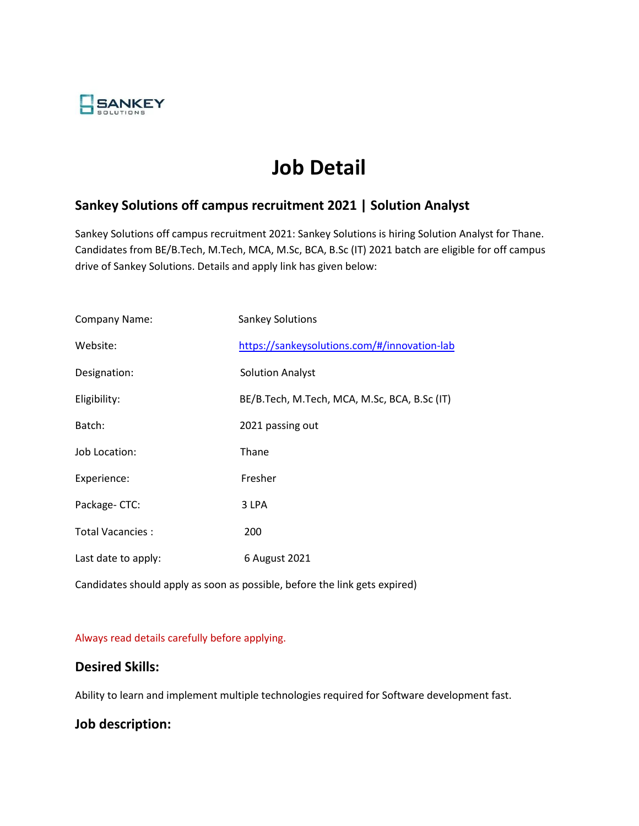

# **Job Detail**

## **Sankey Solutions off campus recruitment 2021 | Solution Analyst**

Sankey Solutions off campus recruitment 2021: Sankey Solutions is hiring Solution Analyst for Thane. Candidates from BE/B.Tech, M.Tech, MCA, M.Sc, BCA, B.Sc (IT) 2021 batch are eligible for off campus drive of Sankey Solutions. Details and apply link has given below:

| <b>Company Name:</b> | <b>Sankey Solutions</b>                      |
|----------------------|----------------------------------------------|
| Website:             | https://sankeysolutions.com/#/innovation-lab |
| Designation:         | <b>Solution Analyst</b>                      |
| Eligibility:         | BE/B.Tech, M.Tech, MCA, M.Sc, BCA, B.Sc (IT) |
| Batch:               | 2021 passing out                             |
| Job Location:        | Thane                                        |
| Experience:          | Fresher                                      |
| Package-CTC:         | 3 LPA                                        |
| Total Vacancies:     | 200                                          |
| Last date to apply:  | 6 August 2021                                |

Candidates should apply as soon as possible, before the link gets expired)

#### Always read details carefully before applying.

#### **Desired Skills:**

Ability to learn and implement multiple technologies required for Software development fast.

## **Job description:**